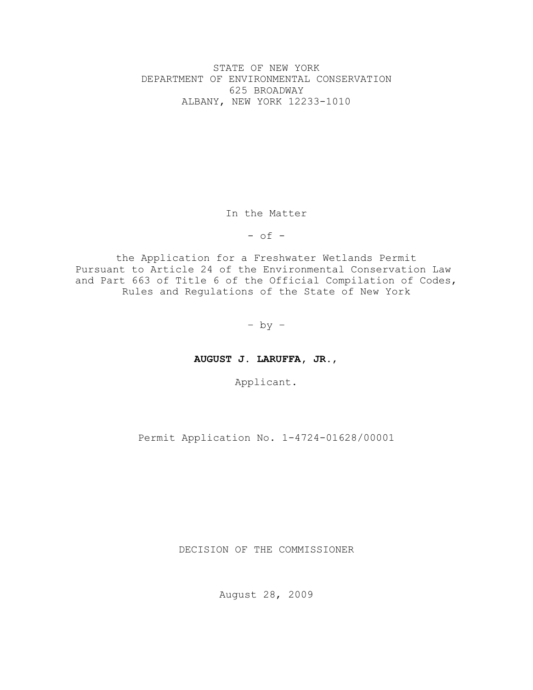STATE OF NEW YORK DEPARTMENT OF ENVIRONMENTAL CONSERVATION 625 BROADWAY ALBANY, NEW YORK 12233-1010

In the Matter

 $-$  of  $-$ 

the Application for a Freshwater Wetlands Permit Pursuant to Article 24 of the Environmental Conservation Law and Part 663 of Title 6 of the Official Compilation of Codes, Rules and Regulations of the State of New York

– by –

**AUGUST J. LARUFFA, JR.**,

Applicant.

Permit Application No. 1-4724-01628/00001

DECISION OF THE COMMISSIONER

August 28, 2009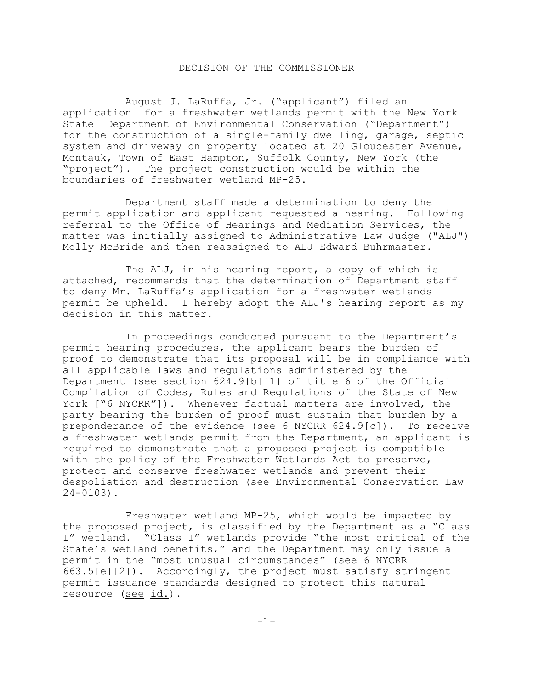### DECISION OF THE COMMISSIONER

August J. LaRuffa, Jr. ("applicant") filed an application for a freshwater wetlands permit with the New York State Department of Environmental Conservation ("Department") for the construction of a single-family dwelling, garage, septic system and driveway on property located at 20 Gloucester Avenue, Montauk, Town of East Hampton, Suffolk County, New York (the "project"). The project construction would be within the boundaries of freshwater wetland MP-25.

Department staff made a determination to deny the permit application and applicant requested a hearing. Following referral to the Office of Hearings and Mediation Services, the matter was initially assigned to Administrative Law Judge ("ALJ") Molly McBride and then reassigned to ALJ Edward Buhrmaster.

The ALJ, in his hearing report, a copy of which is attached, recommends that the determination of Department staff to deny Mr. LaRuffa's application for a freshwater wetlands permit be upheld. I hereby adopt the ALJ's hearing report as my decision in this matter.

In proceedings conducted pursuant to the Department's permit hearing procedures, the applicant bears the burden of proof to demonstrate that its proposal will be in compliance with all applicable laws and regulations administered by the Department (see section 624.9[b][1] of title 6 of the Official Compilation of Codes, Rules and Regulations of the State of New York ["6 NYCRR"]). Whenever factual matters are involved, the party bearing the burden of proof must sustain that burden by a preponderance of the evidence (see 6 NYCRR 624.9[c]). To receive a freshwater wetlands permit from the Department, an applicant is required to demonstrate that a proposed project is compatible with the policy of the Freshwater Wetlands Act to preserve, protect and conserve freshwater wetlands and prevent their despoliation and destruction (see Environmental Conservation Law 24-0103).

Freshwater wetland MP-25, which would be impacted by the proposed project, is classified by the Department as a "Class I" wetland. "Class I" wetlands provide "the most critical of the State's wetland benefits," and the Department may only issue a permit in the "most unusual circumstances" (see 6 NYCRR 663.5[e][2]). Accordingly, the project must satisfy stringent permit issuance standards designed to protect this natural resource (see id.).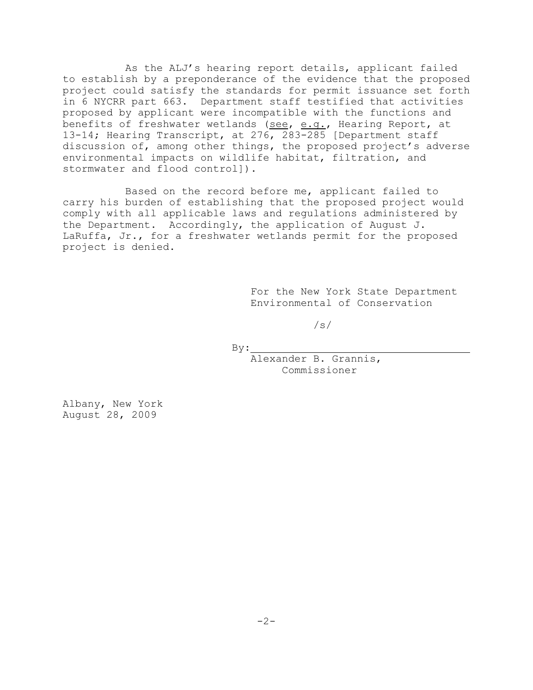As the ALJ's hearing report details, applicant failed to establish by a preponderance of the evidence that the proposed project could satisfy the standards for permit issuance set forth in 6 NYCRR part 663. Department staff testified that activities proposed by applicant were incompatible with the functions and benefits of freshwater wetlands (see, e.g., Hearing Report, at 13-14; Hearing Transcript, at 276, 283-285 [Department staff discussion of, among other things, the proposed project's adverse environmental impacts on wildlife habitat, filtration, and stormwater and flood control]).

Based on the record before me, applicant failed to carry his burden of establishing that the proposed project would comply with all applicable laws and regulations administered by the Department. Accordingly, the application of August J. LaRuffa, Jr., for a freshwater wetlands permit for the proposed project is denied.

> For the New York State Department Environmental of Conservation

> > /s/

By:

Alexander B. Grannis, Commissioner

Albany, New York August 28, 2009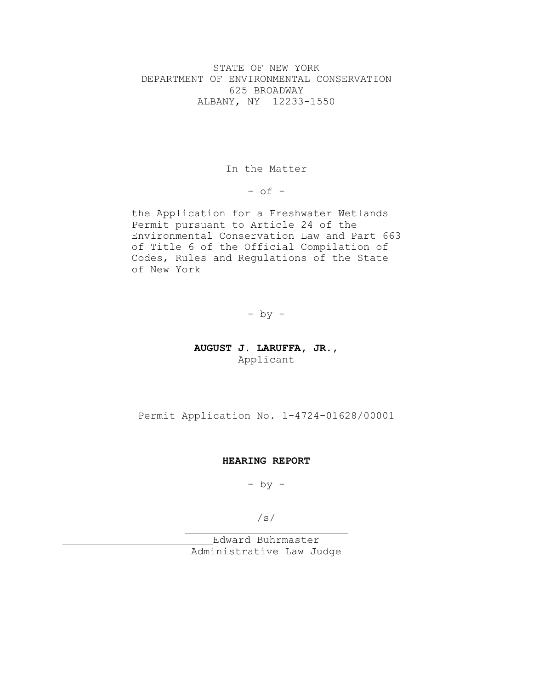STATE OF NEW YORK DEPARTMENT OF ENVIRONMENTAL CONSERVATION 625 BROADWAY ALBANY, NY 12233-1550

In the Matter

 $-$  of  $-$ 

the Application for a Freshwater Wetlands Permit pursuant to Article 24 of the Environmental Conservation Law and Part 663 of Title 6 of the Official Compilation of Codes, Rules and Regulations of the State of New York

 $-$  by  $-$ 

## **AUGUST J. LARUFFA, JR.,** Applicant

Permit Application No. 1-4724-01628/00001

### **HEARING REPORT**

 $-$  by  $-$ 

/s/

Edward Buhrmaster Administrative Law Judge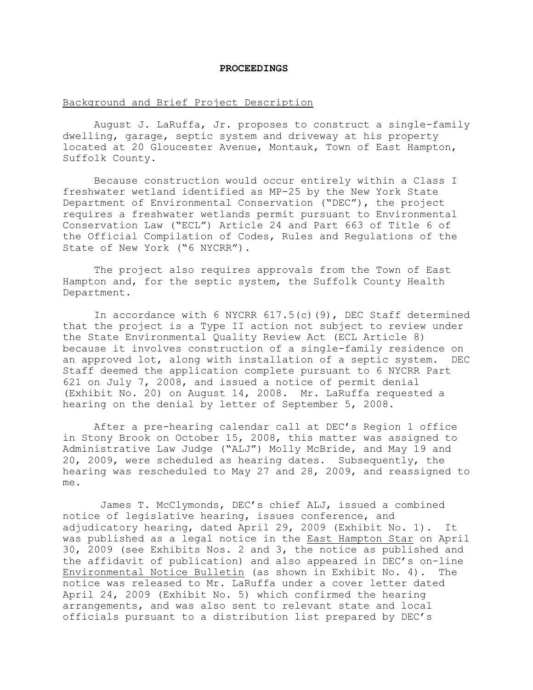#### **PROCEEDINGS**

### Background and Brief Project Description

August J. LaRuffa, Jr. proposes to construct a single-family dwelling, garage, septic system and driveway at his property located at 20 Gloucester Avenue, Montauk, Town of East Hampton, Suffolk County.

Because construction would occur entirely within a Class I freshwater wetland identified as MP-25 by the New York State Department of Environmental Conservation ("DEC"), the project requires a freshwater wetlands permit pursuant to Environmental Conservation Law ("ECL") Article 24 and Part 663 of Title 6 of the Official Compilation of Codes, Rules and Regulations of the State of New York ("6 NYCRR").

The project also requires approvals from the Town of East Hampton and, for the septic system, the Suffolk County Health Department.

In accordance with 6 NYCRR  $617.5(c)(9)$ , DEC Staff determined that the project is a Type II action not subject to review under the State Environmental Quality Review Act (ECL Article 8) because it involves construction of a single-family residence on an approved lot, along with installation of a septic system. DEC Staff deemed the application complete pursuant to 6 NYCRR Part 621 on July 7, 2008, and issued a notice of permit denial (Exhibit No. 20) on August 14, 2008. Mr. LaRuffa requested a hearing on the denial by letter of September 5, 2008.

After a pre-hearing calendar call at DEC's Region 1 office in Stony Brook on October 15, 2008, this matter was assigned to Administrative Law Judge ("ALJ") Molly McBride, and May 19 and 20, 2009, were scheduled as hearing dates. Subsequently, the hearing was rescheduled to May 27 and 28, 2009, and reassigned to me.

 James T. McClymonds, DEC's chief ALJ, issued a combined notice of legislative hearing, issues conference, and adjudicatory hearing, dated April 29, 2009 (Exhibit No. 1). It was published as a legal notice in the East Hampton Star on April 30, 2009 (see Exhibits Nos. 2 and 3, the notice as published and the affidavit of publication) and also appeared in DEC's on-line Environmental Notice Bulletin (as shown in Exhibit No. 4). The notice was released to Mr. LaRuffa under a cover letter dated April 24, 2009 (Exhibit No. 5) which confirmed the hearing arrangements, and was also sent to relevant state and local officials pursuant to a distribution list prepared by DEC's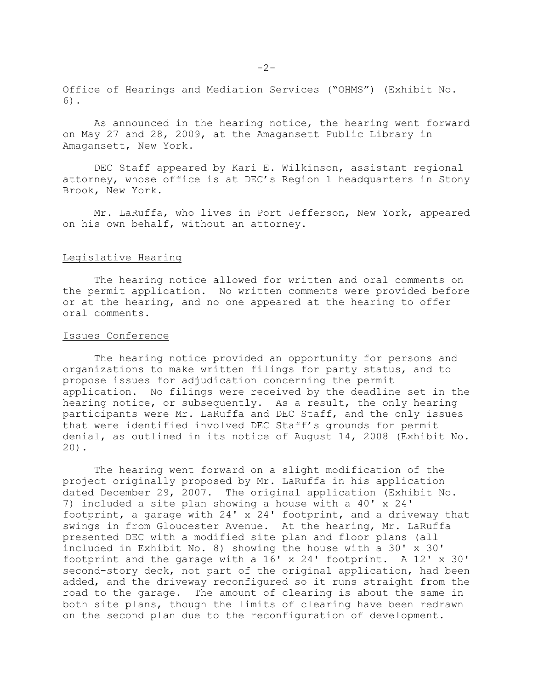Office of Hearings and Mediation Services ("OHMS") (Exhibit No. 6).

As announced in the hearing notice, the hearing went forward on May 27 and 28, 2009, at the Amagansett Public Library in Amagansett, New York.

DEC Staff appeared by Kari E. Wilkinson, assistant regional attorney, whose office is at DEC's Region 1 headquarters in Stony Brook, New York.

Mr. LaRuffa, who lives in Port Jefferson, New York, appeared on his own behalf, without an attorney.

### Legislative Hearing

The hearing notice allowed for written and oral comments on the permit application. No written comments were provided before or at the hearing, and no one appeared at the hearing to offer oral comments.

### Issues Conference

The hearing notice provided an opportunity for persons and organizations to make written filings for party status, and to propose issues for adjudication concerning the permit application. No filings were received by the deadline set in the hearing notice, or subsequently. As a result, the only hearing participants were Mr. LaRuffa and DEC Staff, and the only issues that were identified involved DEC Staff's grounds for permit denial, as outlined in its notice of August 14, 2008 (Exhibit No. 20).

The hearing went forward on a slight modification of the project originally proposed by Mr. LaRuffa in his application dated December 29, 2007. The original application (Exhibit No. 7) included a site plan showing a house with a 40' x 24' footprint, a garage with 24' x 24' footprint, and a driveway that swings in from Gloucester Avenue. At the hearing, Mr. LaRuffa presented DEC with a modified site plan and floor plans (all included in Exhibit No. 8) showing the house with a 30' x 30' footprint and the garage with a 16' x 24' footprint. A 12' x 30' second-story deck, not part of the original application, had been added, and the driveway reconfigured so it runs straight from the road to the garage. The amount of clearing is about the same in both site plans, though the limits of clearing have been redrawn on the second plan due to the reconfiguration of development.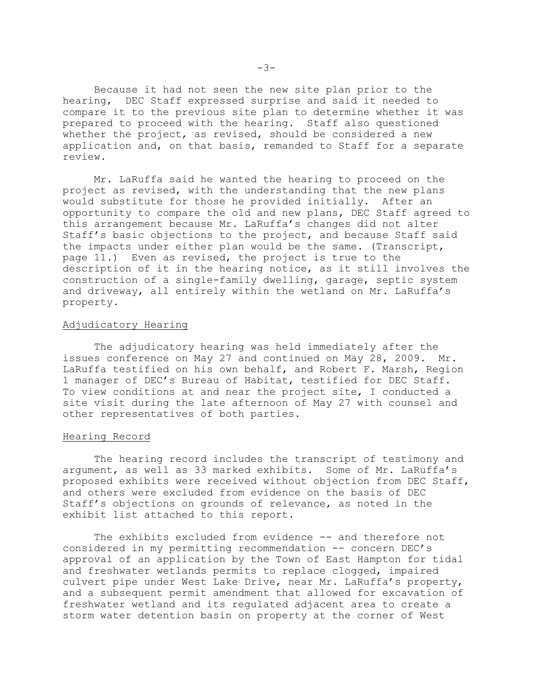Because it had not seen the new site plan prior to the hearing, DEC Staff expressed surprise and said it needed to compare it to the previous site plan to determine whether it was prepared to proceed with the hearing. Staff also questioned whether the project, as revised, should be considered a new application and, on that basis, remanded to Staff for a separate review.

Mr. LaRuffa said he wanted the hearing to proceed on the project as revised, with the understanding that the new plans would substitute for those he provided initially. After an opportunity to compare the old and new plans, DEC Staff agreed to this arrangement because Mr. LaRuffa's changes did not alter Staff's basic objections to the project, and because Staff said the impacts under either plan would be the same. (Transcript, page 11.) Even as revised, the project is true to the description of it in the hearing notice, as it still involves the construction of a single-family dwelling, garage, septic system and driveway, all entirely within the wetland on Mr. LaRuffa's property.

#### Adjudicatory Hearing

The adjudicatory hearing was held immediately after the issues conference on May 27 and continued on May 28, 2009. Mr. LaRuffa testified on his own behalf, and Robert F. Marsh, Region 1 manager of DEC's Bureau of Habitat, testified for DEC Staff. To view conditions at and near the project site, I conducted a site visit during the late afternoon of May 27 with counsel and other representatives of both parties.

### Hearing Record

The hearing record includes the transcript of testimony and argument, as well as 33 marked exhibits. Some of Mr. LaRuffa's proposed exhibits were received without objection from DEC Staff, and others were excluded from evidence on the basis of DEC Staff's objections on grounds of relevance, as noted in the exhibit list attached to this report.

The exhibits excluded from evidence -- and therefore not considered in my permitting recommendation -- concern DEC's approval of an application by the Town of East Hampton for tidal and freshwater wetlands permits to replace clogged, impaired culvert pipe under West Lake Drive, near Mr. LaRuffa's property, and a subsequent permit amendment that allowed for excavation of freshwater wetland and its regulated adjacent area to create a storm water detention basin on property at the corner of West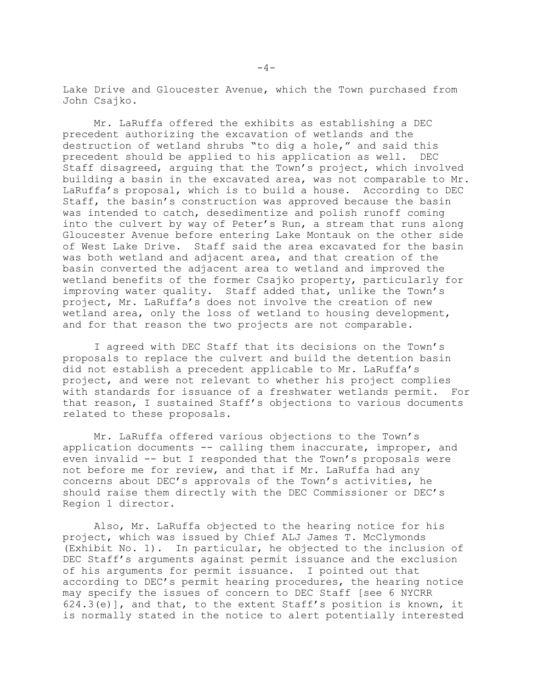Lake Drive and Gloucester Avenue, which the Town purchased from John Csajko.

Mr. LaRuffa offered the exhibits as establishing a DEC precedent authorizing the excavation of wetlands and the destruction of wetland shrubs "to dig a hole," and said this precedent should be applied to his application as well. DEC Staff disagreed, arguing that the Town's project, which involved building a basin in the excavated area, was not comparable to Mr. LaRuffa's proposal, which is to build a house. According to DEC Staff, the basin's construction was approved because the basin was intended to catch, desedimentize and polish runoff coming into the culvert by way of Peter's Run, a stream that runs along Gloucester Avenue before entering Lake Montauk on the other side of West Lake Drive. Staff said the area excavated for the basin was both wetland and adjacent area, and that creation of the basin converted the adjacent area to wetland and improved the wetland benefits of the former Csajko property, particularly for improving water quality. Staff added that, unlike the Town's project, Mr. LaRuffa's does not involve the creation of new wetland area, only the loss of wetland to housing development, and for that reason the two projects are not comparable.

I agreed with DEC Staff that its decisions on the Town's proposals to replace the culvert and build the detention basin did not establish a precedent applicable to Mr. LaRuffa's project, and were not relevant to whether his project complies with standards for issuance of a freshwater wetlands permit. For that reason, I sustained Staff's objections to various documents related to these proposals.

Mr. LaRuffa offered various objections to the Town's application documents -- calling them inaccurate, improper, and even invalid -- but I responded that the Town's proposals were not before me for review, and that if Mr. LaRuffa had any concerns about DEC's approvals of the Town's activities, he should raise them directly with the DEC Commissioner or DEC's Region 1 director.

Also, Mr. LaRuffa objected to the hearing notice for his project, which was issued by Chief ALJ James T. McClymonds (Exhibit No. 1). In particular, he objected to the inclusion of DEC Staff's arguments against permit issuance and the exclusion of his arguments for permit issuance. I pointed out that according to DEC's permit hearing procedures, the hearing notice may specify the issues of concern to DEC Staff [see 6 NYCRR 624.3(e)], and that, to the extent Staff's position is known, it is normally stated in the notice to alert potentially interested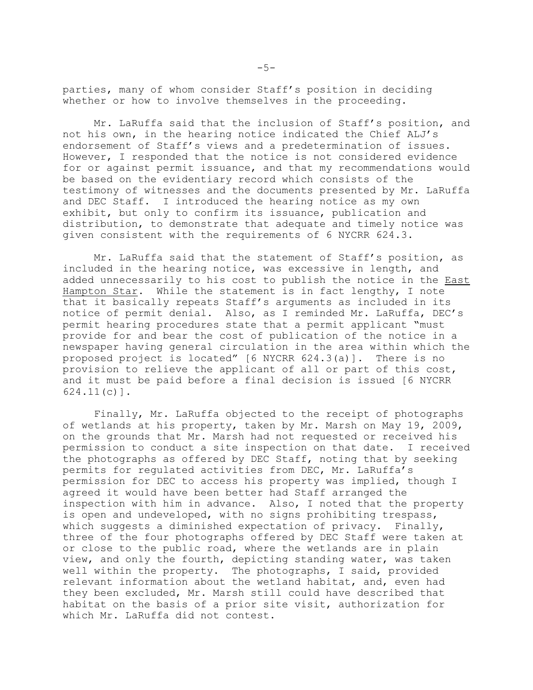parties, many of whom consider Staff's position in deciding whether or how to involve themselves in the proceeding.

Mr. LaRuffa said that the inclusion of Staff's position, and not his own, in the hearing notice indicated the Chief ALJ's endorsement of Staff's views and a predetermination of issues. However, I responded that the notice is not considered evidence for or against permit issuance, and that my recommendations would be based on the evidentiary record which consists of the testimony of witnesses and the documents presented by Mr. LaRuffa and DEC Staff. I introduced the hearing notice as my own exhibit, but only to confirm its issuance, publication and distribution, to demonstrate that adequate and timely notice was given consistent with the requirements of 6 NYCRR 624.3.

Mr. LaRuffa said that the statement of Staff's position, as included in the hearing notice, was excessive in length, and added unnecessarily to his cost to publish the notice in the East Hampton Star. While the statement is in fact lengthy, I note that it basically repeats Staff's arguments as included in its notice of permit denial. Also, as I reminded Mr. LaRuffa, DEC's permit hearing procedures state that a permit applicant "must provide for and bear the cost of publication of the notice in a newspaper having general circulation in the area within which the proposed project is located" [6 NYCRR 624.3(a)]. There is no provision to relieve the applicant of all or part of this cost, and it must be paid before a final decision is issued [6 NYCRR 624.11(c)].

Finally, Mr. LaRuffa objected to the receipt of photographs of wetlands at his property, taken by Mr. Marsh on May 19, 2009, on the grounds that Mr. Marsh had not requested or received his permission to conduct a site inspection on that date. I received the photographs as offered by DEC Staff, noting that by seeking permits for regulated activities from DEC, Mr. LaRuffa's permission for DEC to access his property was implied, though I agreed it would have been better had Staff arranged the inspection with him in advance. Also, I noted that the property is open and undeveloped, with no signs prohibiting trespass, which suggests a diminished expectation of privacy. Finally, three of the four photographs offered by DEC Staff were taken at or close to the public road, where the wetlands are in plain view, and only the fourth, depicting standing water, was taken well within the property. The photographs, I said, provided relevant information about the wetland habitat, and, even had they been excluded, Mr. Marsh still could have described that habitat on the basis of a prior site visit, authorization for which Mr. LaRuffa did not contest.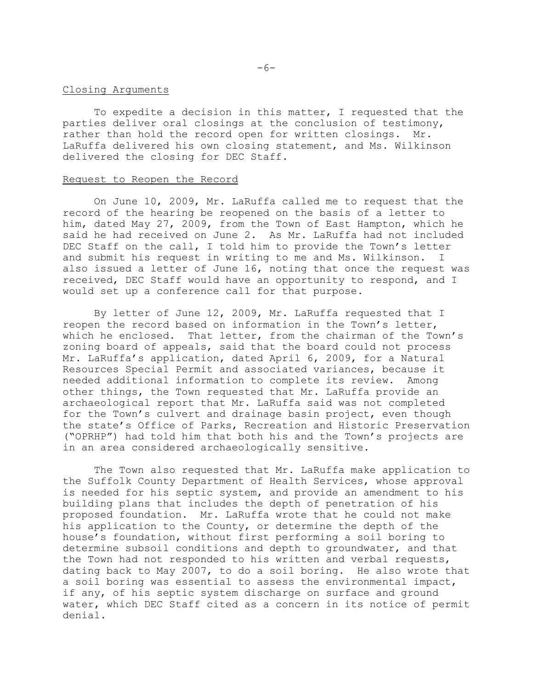#### Closing Arguments

To expedite a decision in this matter, I requested that the parties deliver oral closings at the conclusion of testimony, rather than hold the record open for written closings. Mr. LaRuffa delivered his own closing statement, and Ms. Wilkinson delivered the closing for DEC Staff.

#### Request to Reopen the Record

On June 10, 2009, Mr. LaRuffa called me to request that the record of the hearing be reopened on the basis of a letter to him, dated May 27, 2009, from the Town of East Hampton, which he said he had received on June 2. As Mr. LaRuffa had not included DEC Staff on the call, I told him to provide the Town's letter and submit his request in writing to me and Ms. Wilkinson. I also issued a letter of June 16, noting that once the request was received, DEC Staff would have an opportunity to respond, and I would set up a conference call for that purpose.

By letter of June 12, 2009, Mr. LaRuffa requested that I reopen the record based on information in the Town's letter, which he enclosed. That letter, from the chairman of the Town's zoning board of appeals, said that the board could not process Mr. LaRuffa's application, dated April 6, 2009, for a Natural Resources Special Permit and associated variances, because it needed additional information to complete its review. Among other things, the Town requested that Mr. LaRuffa provide an archaeological report that Mr. LaRuffa said was not completed for the Town's culvert and drainage basin project, even though the state's Office of Parks, Recreation and Historic Preservation ("OPRHP") had told him that both his and the Town's projects are in an area considered archaeologically sensitive.

The Town also requested that Mr. LaRuffa make application to the Suffolk County Department of Health Services, whose approval is needed for his septic system, and provide an amendment to his building plans that includes the depth of penetration of his proposed foundation. Mr. LaRuffa wrote that he could not make his application to the County, or determine the depth of the house's foundation, without first performing a soil boring to determine subsoil conditions and depth to groundwater, and that the Town had not responded to his written and verbal requests, dating back to May 2007, to do a soil boring. He also wrote that a soil boring was essential to assess the environmental impact, if any, of his septic system discharge on surface and ground water, which DEC Staff cited as a concern in its notice of permit denial.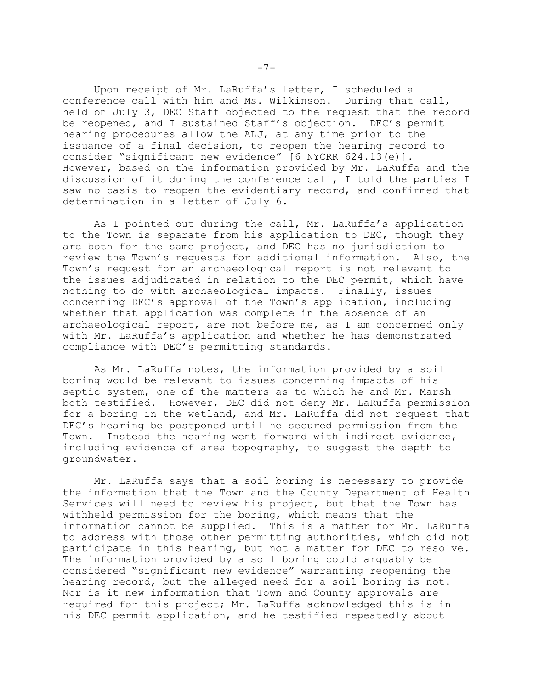Upon receipt of Mr. LaRuffa's letter, I scheduled a conference call with him and Ms. Wilkinson. During that call, held on July 3, DEC Staff objected to the request that the record be reopened, and I sustained Staff's objection. DEC's permit hearing procedures allow the ALJ, at any time prior to the issuance of a final decision, to reopen the hearing record to consider "significant new evidence" [6 NYCRR 624.13(e)]. However, based on the information provided by Mr. LaRuffa and the discussion of it during the conference call, I told the parties I saw no basis to reopen the evidentiary record, and confirmed that determination in a letter of July 6.

As I pointed out during the call, Mr. LaRuffa's application to the Town is separate from his application to DEC, though they are both for the same project, and DEC has no jurisdiction to review the Town's requests for additional information. Also, the Town's request for an archaeological report is not relevant to the issues adjudicated in relation to the DEC permit, which have nothing to do with archaeological impacts. Finally, issues concerning DEC's approval of the Town's application, including whether that application was complete in the absence of an archaeological report, are not before me, as I am concerned only with Mr. LaRuffa's application and whether he has demonstrated compliance with DEC's permitting standards.

As Mr. LaRuffa notes, the information provided by a soil boring would be relevant to issues concerning impacts of his septic system, one of the matters as to which he and Mr. Marsh both testified. However, DEC did not deny Mr. LaRuffa permission for a boring in the wetland, and Mr. LaRuffa did not request that DEC's hearing be postponed until he secured permission from the Town. Instead the hearing went forward with indirect evidence, including evidence of area topography, to suggest the depth to groundwater.

Mr. LaRuffa says that a soil boring is necessary to provide the information that the Town and the County Department of Health Services will need to review his project, but that the Town has withheld permission for the boring, which means that the information cannot be supplied. This is a matter for Mr. LaRuffa to address with those other permitting authorities, which did not participate in this hearing, but not a matter for DEC to resolve. The information provided by a soil boring could arguably be considered "significant new evidence" warranting reopening the hearing record, but the alleged need for a soil boring is not. Nor is it new information that Town and County approvals are required for this project; Mr. LaRuffa acknowledged this is in his DEC permit application, and he testified repeatedly about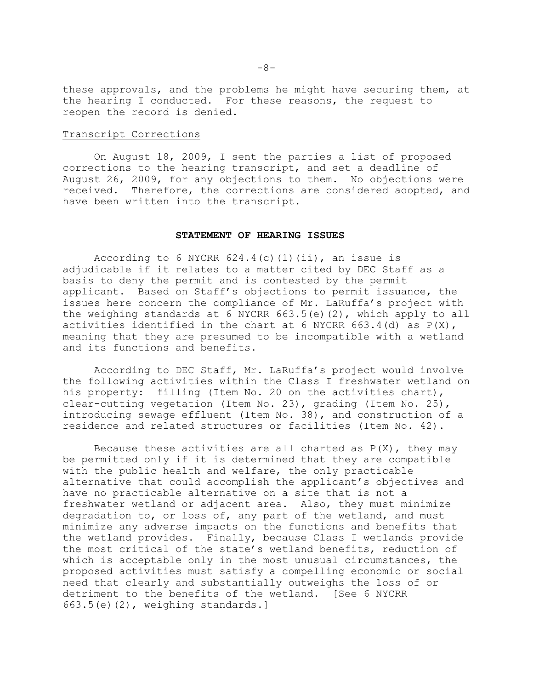these approvals, and the problems he might have securing them, at the hearing I conducted. For these reasons, the request to reopen the record is denied.

### Transcript Corrections

On August 18, 2009, I sent the parties a list of proposed corrections to the hearing transcript, and set a deadline of August 26, 2009, for any objections to them. No objections were received. Therefore, the corrections are considered adopted, and have been written into the transcript.

### **STATEMENT OF HEARING ISSUES**

According to 6 NYCRR  $624.4$  (c)(1)(ii), an issue is adjudicable if it relates to a matter cited by DEC Staff as a basis to deny the permit and is contested by the permit applicant. Based on Staff's objections to permit issuance, the issues here concern the compliance of Mr. LaRuffa's project with the weighing standards at 6 NYCRR 663.5(e)(2), which apply to all activities identified in the chart at 6 NYCRR 663.4(d) as P(X), meaning that they are presumed to be incompatible with a wetland and its functions and benefits.

According to DEC Staff, Mr. LaRuffa's project would involve the following activities within the Class I freshwater wetland on his property: filling (Item No. 20 on the activities chart), clear-cutting vegetation (Item No. 23), grading (Item No. 25), introducing sewage effluent (Item No. 38), and construction of a residence and related structures or facilities (Item No. 42).

Because these activities are all charted as  $P(X)$ , they may be permitted only if it is determined that they are compatible with the public health and welfare, the only practicable alternative that could accomplish the applicant's objectives and have no practicable alternative on a site that is not a freshwater wetland or adjacent area. Also, they must minimize degradation to, or loss of, any part of the wetland, and must minimize any adverse impacts on the functions and benefits that the wetland provides. Finally, because Class I wetlands provide the most critical of the state's wetland benefits, reduction of which is acceptable only in the most unusual circumstances, the proposed activities must satisfy a compelling economic or social need that clearly and substantially outweighs the loss of or detriment to the benefits of the wetland. [See 6 NYCRR 663.5(e)(2), weighing standards.]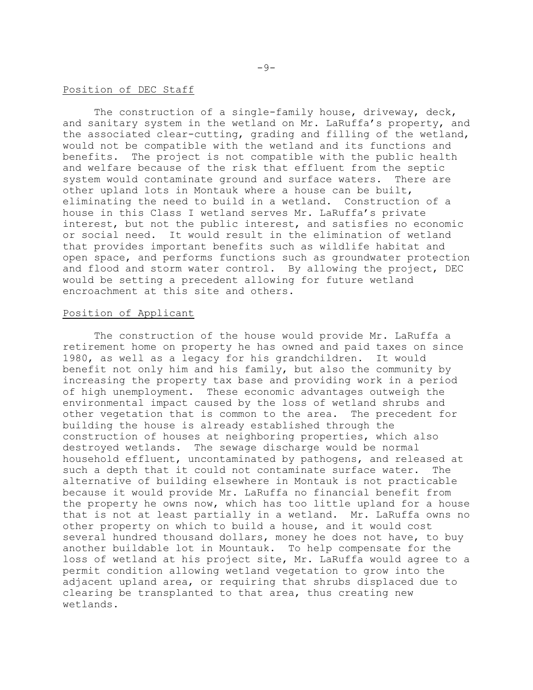#### Position of DEC Staff

The construction of a single-family house, driveway, deck, and sanitary system in the wetland on Mr. LaRuffa's property, and the associated clear-cutting, grading and filling of the wetland, would not be compatible with the wetland and its functions and benefits. The project is not compatible with the public health and welfare because of the risk that effluent from the septic system would contaminate ground and surface waters. There are other upland lots in Montauk where a house can be built, eliminating the need to build in a wetland. Construction of a house in this Class I wetland serves Mr. LaRuffa's private interest, but not the public interest, and satisfies no economic or social need. It would result in the elimination of wetland that provides important benefits such as wildlife habitat and open space, and performs functions such as groundwater protection and flood and storm water control. By allowing the project, DEC would be setting a precedent allowing for future wetland encroachment at this site and others.

### Position of Applicant

The construction of the house would provide Mr. LaRuffa a retirement home on property he has owned and paid taxes on since 1980, as well as a legacy for his grandchildren. It would benefit not only him and his family, but also the community by increasing the property tax base and providing work in a period of high unemployment. These economic advantages outweigh the environmental impact caused by the loss of wetland shrubs and other vegetation that is common to the area. The precedent for building the house is already established through the construction of houses at neighboring properties, which also destroyed wetlands. The sewage discharge would be normal household effluent, uncontaminated by pathogens, and released at such a depth that it could not contaminate surface water. The alternative of building elsewhere in Montauk is not practicable because it would provide Mr. LaRuffa no financial benefit from the property he owns now, which has too little upland for a house that is not at least partially in a wetland. Mr. LaRuffa owns no other property on which to build a house, and it would cost several hundred thousand dollars, money he does not have, to buy another buildable lot in Mountauk. To help compensate for the loss of wetland at his project site, Mr. LaRuffa would agree to a permit condition allowing wetland vegetation to grow into the adjacent upland area, or requiring that shrubs displaced due to clearing be transplanted to that area, thus creating new wetlands.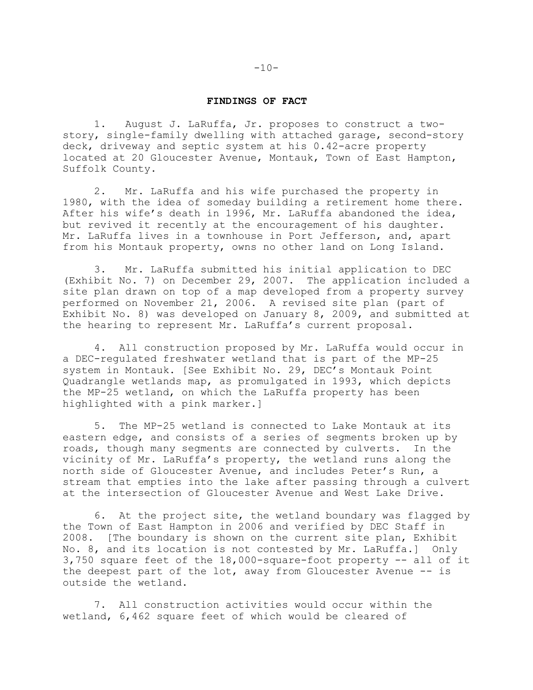#### **FINDINGS OF FACT**

1. August J. LaRuffa, Jr. proposes to construct a twostory, single-family dwelling with attached garage, second-story deck, driveway and septic system at his 0.42-acre property located at 20 Gloucester Avenue, Montauk, Town of East Hampton, Suffolk County.

2. Mr. LaRuffa and his wife purchased the property in 1980, with the idea of someday building a retirement home there. After his wife's death in 1996, Mr. LaRuffa abandoned the idea, but revived it recently at the encouragement of his daughter. Mr. LaRuffa lives in a townhouse in Port Jefferson, and, apart from his Montauk property, owns no other land on Long Island.

3. Mr. LaRuffa submitted his initial application to DEC (Exhibit No. 7) on December 29, 2007. The application included a site plan drawn on top of a map developed from a property survey performed on November 21, 2006. A revised site plan (part of Exhibit No. 8) was developed on January 8, 2009, and submitted at the hearing to represent Mr. LaRuffa's current proposal.

4. All construction proposed by Mr. LaRuffa would occur in a DEC-regulated freshwater wetland that is part of the MP-25 system in Montauk. [See Exhibit No. 29, DEC's Montauk Point Quadrangle wetlands map, as promulgated in 1993, which depicts the MP-25 wetland, on which the LaRuffa property has been highlighted with a pink marker.]

5. The MP-25 wetland is connected to Lake Montauk at its eastern edge, and consists of a series of segments broken up by roads, though many segments are connected by culverts. In the vicinity of Mr. LaRuffa's property, the wetland runs along the north side of Gloucester Avenue, and includes Peter's Run, a stream that empties into the lake after passing through a culvert at the intersection of Gloucester Avenue and West Lake Drive.

6. At the project site, the wetland boundary was flagged by the Town of East Hampton in 2006 and verified by DEC Staff in 2008. [The boundary is shown on the current site plan, Exhibit No. 8, and its location is not contested by Mr. LaRuffa.] Only 3,750 square feet of the 18,000-square-foot property -- all of it the deepest part of the lot, away from Gloucester Avenue -- is outside the wetland.

7. All construction activities would occur within the wetland, 6,462 square feet of which would be cleared of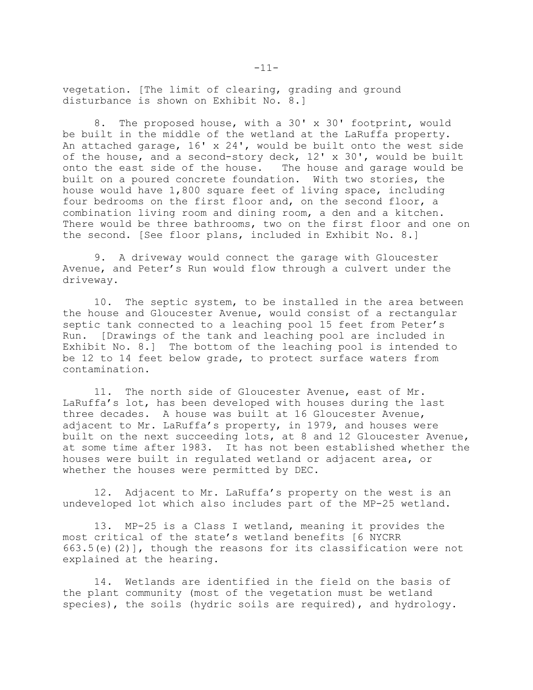vegetation. [The limit of clearing, grading and ground disturbance is shown on Exhibit No. 8.]

8. The proposed house, with a 30' x 30' footprint, would be built in the middle of the wetland at the LaRuffa property. An attached garage, 16' x 24', would be built onto the west side of the house, and a second-story deck, 12' x 30', would be built onto the east side of the house. The house and garage would be built on a poured concrete foundation. With two stories, the house would have 1,800 square feet of living space, including four bedrooms on the first floor and, on the second floor, a combination living room and dining room, a den and a kitchen. There would be three bathrooms, two on the first floor and one on the second. [See floor plans, included in Exhibit No. 8.]

9. A driveway would connect the garage with Gloucester Avenue, and Peter's Run would flow through a culvert under the driveway.

10. The septic system, to be installed in the area between the house and Gloucester Avenue, would consist of a rectangular septic tank connected to a leaching pool 15 feet from Peter's Run. [Drawings of the tank and leaching pool are included in Exhibit No. 8.] The bottom of the leaching pool is intended to be 12 to 14 feet below grade, to protect surface waters from contamination.

11. The north side of Gloucester Avenue, east of Mr. LaRuffa's lot, has been developed with houses during the last three decades. A house was built at 16 Gloucester Avenue, adjacent to Mr. LaRuffa's property, in 1979, and houses were built on the next succeeding lots, at 8 and 12 Gloucester Avenue, at some time after 1983. It has not been established whether the houses were built in regulated wetland or adjacent area, or whether the houses were permitted by DEC.

12. Adjacent to Mr. LaRuffa's property on the west is an undeveloped lot which also includes part of the MP-25 wetland.

13. MP-25 is a Class I wetland, meaning it provides the most critical of the state's wetland benefits [6 NYCRR  $663.5(e)$  (2)], though the reasons for its classification were not explained at the hearing.

14. Wetlands are identified in the field on the basis of the plant community (most of the vegetation must be wetland species), the soils (hydric soils are required), and hydrology.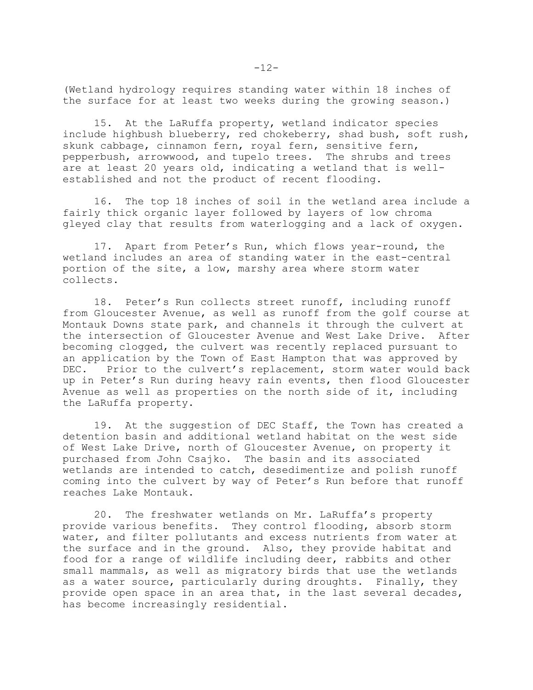(Wetland hydrology requires standing water within 18 inches of the surface for at least two weeks during the growing season.)

15. At the LaRuffa property, wetland indicator species include highbush blueberry, red chokeberry, shad bush, soft rush, skunk cabbage, cinnamon fern, royal fern, sensitive fern, pepperbush, arrowwood, and tupelo trees. The shrubs and trees are at least 20 years old, indicating a wetland that is wellestablished and not the product of recent flooding.

16. The top 18 inches of soil in the wetland area include a fairly thick organic layer followed by layers of low chroma gleyed clay that results from waterlogging and a lack of oxygen.

17. Apart from Peter's Run, which flows year-round, the wetland includes an area of standing water in the east-central portion of the site, a low, marshy area where storm water collects.

18. Peter's Run collects street runoff, including runoff from Gloucester Avenue, as well as runoff from the golf course at Montauk Downs state park, and channels it through the culvert at the intersection of Gloucester Avenue and West Lake Drive. After becoming clogged, the culvert was recently replaced pursuant to an application by the Town of East Hampton that was approved by DEC. Prior to the culvert's replacement, storm water would back up in Peter's Run during heavy rain events, then flood Gloucester Avenue as well as properties on the north side of it, including the LaRuffa property.

19. At the suggestion of DEC Staff, the Town has created a detention basin and additional wetland habitat on the west side of West Lake Drive, north of Gloucester Avenue, on property it purchased from John Csajko. The basin and its associated wetlands are intended to catch, desedimentize and polish runoff coming into the culvert by way of Peter's Run before that runoff reaches Lake Montauk.

20. The freshwater wetlands on Mr. LaRuffa's property provide various benefits. They control flooding, absorb storm water, and filter pollutants and excess nutrients from water at the surface and in the ground. Also, they provide habitat and food for a range of wildlife including deer, rabbits and other small mammals, as well as migratory birds that use the wetlands as a water source, particularly during droughts. Finally, they provide open space in an area that, in the last several decades, has become increasingly residential.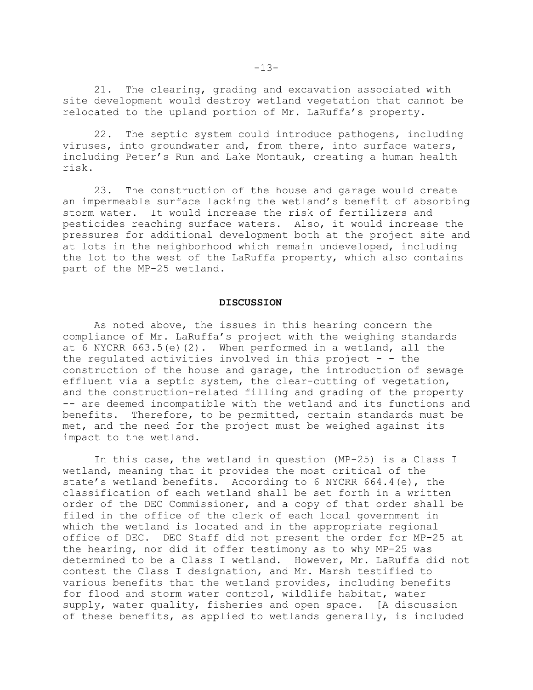21. The clearing, grading and excavation associated with site development would destroy wetland vegetation that cannot be relocated to the upland portion of Mr. LaRuffa's property.

22. The septic system could introduce pathogens, including viruses, into groundwater and, from there, into surface waters, including Peter's Run and Lake Montauk, creating a human health risk.

23. The construction of the house and garage would create an impermeable surface lacking the wetland's benefit of absorbing storm water. It would increase the risk of fertilizers and pesticides reaching surface waters. Also, it would increase the pressures for additional development both at the project site and at lots in the neighborhood which remain undeveloped, including the lot to the west of the LaRuffa property, which also contains part of the MP-25 wetland.

### **DISCUSSION**

As noted above, the issues in this hearing concern the compliance of Mr. LaRuffa's project with the weighing standards at 6 NYCRR 663.5(e)(2). When performed in a wetland, all the the regulated activities involved in this project  $-$  - the construction of the house and garage, the introduction of sewage effluent via a septic system, the clear-cutting of vegetation, and the construction-related filling and grading of the property -- are deemed incompatible with the wetland and its functions and benefits. Therefore, to be permitted, certain standards must be met, and the need for the project must be weighed against its impact to the wetland.

In this case, the wetland in question (MP-25) is a Class I wetland, meaning that it provides the most critical of the state's wetland benefits. According to 6 NYCRR 664.4(e), the classification of each wetland shall be set forth in a written order of the DEC Commissioner, and a copy of that order shall be filed in the office of the clerk of each local government in which the wetland is located and in the appropriate regional office of DEC. DEC Staff did not present the order for MP-25 at the hearing, nor did it offer testimony as to why MP-25 was determined to be a Class I wetland. However, Mr. LaRuffa did not contest the Class I designation, and Mr. Marsh testified to various benefits that the wetland provides, including benefits for flood and storm water control, wildlife habitat, water supply, water quality, fisheries and open space. [A discussion of these benefits, as applied to wetlands generally, is included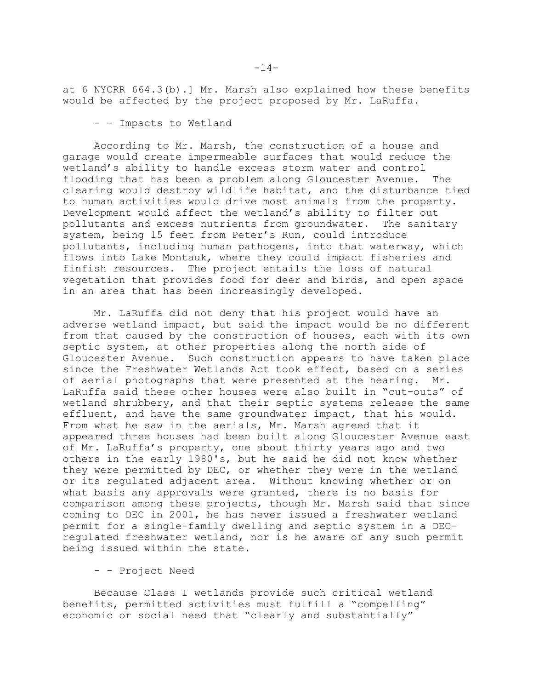at 6 NYCRR 664.3(b).] Mr. Marsh also explained how these benefits would be affected by the project proposed by Mr. LaRuffa.

- - Impacts to Wetland

According to Mr. Marsh, the construction of a house and garage would create impermeable surfaces that would reduce the wetland's ability to handle excess storm water and control flooding that has been a problem along Gloucester Avenue. The clearing would destroy wildlife habitat, and the disturbance tied to human activities would drive most animals from the property. Development would affect the wetland's ability to filter out pollutants and excess nutrients from groundwater. The sanitary system, being 15 feet from Peter's Run, could introduce pollutants, including human pathogens, into that waterway, which flows into Lake Montauk, where they could impact fisheries and finfish resources. The project entails the loss of natural vegetation that provides food for deer and birds, and open space in an area that has been increasingly developed.

Mr. LaRuffa did not deny that his project would have an adverse wetland impact, but said the impact would be no different from that caused by the construction of houses, each with its own septic system, at other properties along the north side of Gloucester Avenue. Such construction appears to have taken place since the Freshwater Wetlands Act took effect, based on a series of aerial photographs that were presented at the hearing. Mr. LaRuffa said these other houses were also built in "cut-outs" of wetland shrubbery, and that their septic systems release the same effluent, and have the same groundwater impact, that his would. From what he saw in the aerials, Mr. Marsh agreed that it appeared three houses had been built along Gloucester Avenue east of Mr. LaRuffa's property, one about thirty years ago and two others in the early 1980's, but he said he did not know whether they were permitted by DEC, or whether they were in the wetland or its regulated adjacent area. Without knowing whether or on what basis any approvals were granted, there is no basis for comparison among these projects, though Mr. Marsh said that since coming to DEC in 2001, he has never issued a freshwater wetland permit for a single-family dwelling and septic system in a DECregulated freshwater wetland, nor is he aware of any such permit being issued within the state.

- - Project Need

Because Class I wetlands provide such critical wetland benefits, permitted activities must fulfill a "compelling" economic or social need that "clearly and substantially"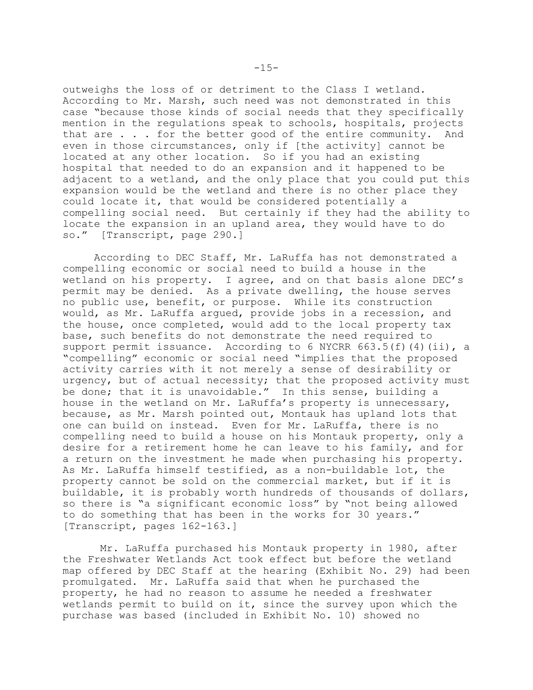outweighs the loss of or detriment to the Class I wetland. According to Mr. Marsh, such need was not demonstrated in this case "because those kinds of social needs that they specifically mention in the regulations speak to schools, hospitals, projects that are . . . for the better good of the entire community. And even in those circumstances, only if [the activity] cannot be located at any other location. So if you had an existing hospital that needed to do an expansion and it happened to be adjacent to a wetland, and the only place that you could put this expansion would be the wetland and there is no other place they could locate it, that would be considered potentially a compelling social need. But certainly if they had the ability to locate the expansion in an upland area, they would have to do so." [Transcript, page 290.]

According to DEC Staff, Mr. LaRuffa has not demonstrated a compelling economic or social need to build a house in the wetland on his property. I agree, and on that basis alone DEC's permit may be denied. As a private dwelling, the house serves no public use, benefit, or purpose. While its construction would, as Mr. LaRuffa argued, provide jobs in a recession, and the house, once completed, would add to the local property tax base, such benefits do not demonstrate the need required to support permit issuance. According to 6 NYCRR  $663.5(f)(4)(ii)$ , a "compelling" economic or social need "implies that the proposed activity carries with it not merely a sense of desirability or urgency, but of actual necessity; that the proposed activity must be done; that it is unavoidable." In this sense, building a house in the wetland on Mr. LaRuffa's property is unnecessary, because, as Mr. Marsh pointed out, Montauk has upland lots that one can build on instead. Even for Mr. LaRuffa, there is no compelling need to build a house on his Montauk property, only a desire for a retirement home he can leave to his family, and for a return on the investment he made when purchasing his property. As Mr. LaRuffa himself testified, as a non-buildable lot, the property cannot be sold on the commercial market, but if it is buildable, it is probably worth hundreds of thousands of dollars, so there is "a significant economic loss" by "not being allowed to do something that has been in the works for 30 years." [Transcript, pages 162-163.]

 Mr. LaRuffa purchased his Montauk property in 1980, after the Freshwater Wetlands Act took effect but before the wetland map offered by DEC Staff at the hearing (Exhibit No. 29) had been promulgated. Mr. LaRuffa said that when he purchased the property, he had no reason to assume he needed a freshwater wetlands permit to build on it, since the survey upon which the purchase was based (included in Exhibit No. 10) showed no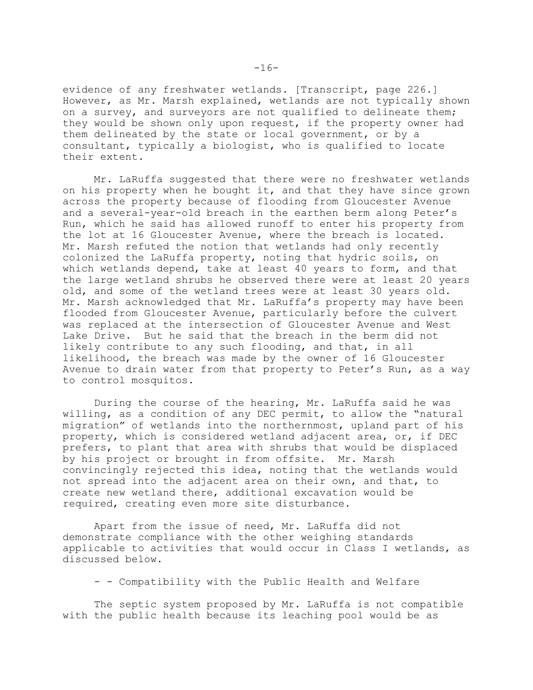evidence of any freshwater wetlands. [Transcript, page 226.] However, as Mr. Marsh explained, wetlands are not typically shown on a survey, and surveyors are not qualified to delineate them; they would be shown only upon request, if the property owner had them delineated by the state or local government, or by a consultant, typically a biologist, who is qualified to locate their extent.

Mr. LaRuffa suggested that there were no freshwater wetlands on his property when he bought it, and that they have since grown across the property because of flooding from Gloucester Avenue and a several-year-old breach in the earthen berm along Peter's Run, which he said has allowed runoff to enter his property from the lot at 16 Gloucester Avenue, where the breach is located. Mr. Marsh refuted the notion that wetlands had only recently colonized the LaRuffa property, noting that hydric soils, on which wetlands depend, take at least 40 years to form, and that the large wetland shrubs he observed there were at least 20 years old, and some of the wetland trees were at least 30 years old. Mr. Marsh acknowledged that Mr. LaRuffa's property may have been flooded from Gloucester Avenue, particularly before the culvert was replaced at the intersection of Gloucester Avenue and West Lake Drive. But he said that the breach in the berm did not likely contribute to any such flooding, and that, in all likelihood, the breach was made by the owner of 16 Gloucester Avenue to drain water from that property to Peter's Run, as a way to control mosquitos.

During the course of the hearing, Mr. LaRuffa said he was willing, as a condition of any DEC permit, to allow the "natural migration" of wetlands into the northernmost, upland part of his property, which is considered wetland adjacent area, or, if DEC prefers, to plant that area with shrubs that would be displaced by his project or brought in from offsite. Mr. Marsh convincingly rejected this idea, noting that the wetlands would not spread into the adjacent area on their own, and that, to create new wetland there, additional excavation would be required, creating even more site disturbance.

Apart from the issue of need, Mr. LaRuffa did not demonstrate compliance with the other weighing standards applicable to activities that would occur in Class I wetlands, as discussed below.

- - Compatibility with the Public Health and Welfare

The septic system proposed by Mr. LaRuffa is not compatible with the public health because its leaching pool would be as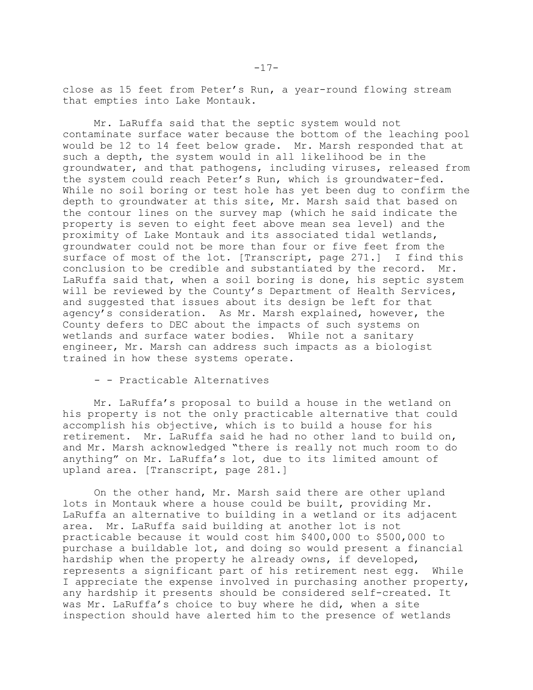close as 15 feet from Peter's Run, a year-round flowing stream that empties into Lake Montauk.

Mr. LaRuffa said that the septic system would not contaminate surface water because the bottom of the leaching pool would be 12 to 14 feet below grade. Mr. Marsh responded that at such a depth, the system would in all likelihood be in the groundwater, and that pathogens, including viruses, released from the system could reach Peter's Run, which is groundwater-fed. While no soil boring or test hole has yet been dug to confirm the depth to groundwater at this site, Mr. Marsh said that based on the contour lines on the survey map (which he said indicate the property is seven to eight feet above mean sea level) and the proximity of Lake Montauk and its associated tidal wetlands, groundwater could not be more than four or five feet from the surface of most of the lot. [Transcript, page 271.] I find this conclusion to be credible and substantiated by the record. Mr. LaRuffa said that, when a soil boring is done, his septic system will be reviewed by the County's Department of Health Services, and suggested that issues about its design be left for that agency's consideration. As Mr. Marsh explained, however, the County defers to DEC about the impacts of such systems on wetlands and surface water bodies. While not a sanitary engineer, Mr. Marsh can address such impacts as a biologist trained in how these systems operate.

- - Practicable Alternatives

Mr. LaRuffa's proposal to build a house in the wetland on his property is not the only practicable alternative that could accomplish his objective, which is to build a house for his retirement. Mr. LaRuffa said he had no other land to build on, and Mr. Marsh acknowledged "there is really not much room to do anything" on Mr. LaRuffa's lot, due to its limited amount of upland area. [Transcript, page 281.]

On the other hand, Mr. Marsh said there are other upland lots in Montauk where a house could be built, providing Mr. LaRuffa an alternative to building in a wetland or its adjacent area. Mr. LaRuffa said building at another lot is not practicable because it would cost him \$400,000 to \$500,000 to purchase a buildable lot, and doing so would present a financial hardship when the property he already owns, if developed, represents a significant part of his retirement nest egg. While I appreciate the expense involved in purchasing another property, any hardship it presents should be considered self-created. It was Mr. LaRuffa's choice to buy where he did, when a site inspection should have alerted him to the presence of wetlands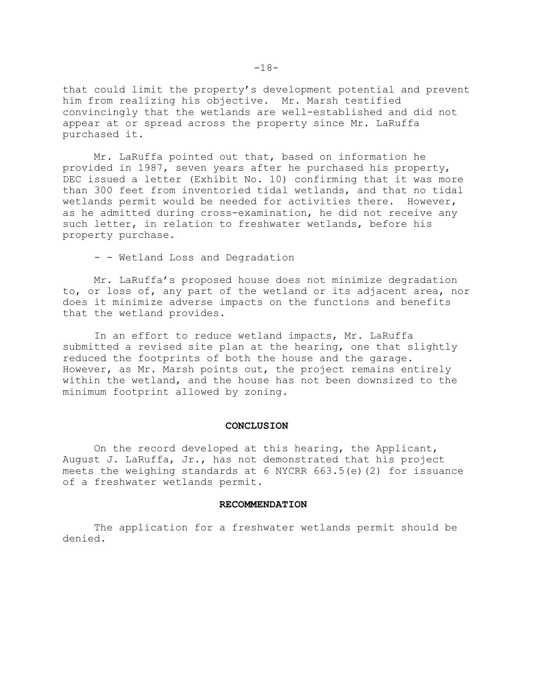that could limit the property's development potential and prevent him from realizing his objective. Mr. Marsh testified convincingly that the wetlands are well-established and did not appear at or spread across the property since Mr. LaRuffa purchased it.

Mr. LaRuffa pointed out that, based on information he provided in 1987, seven years after he purchased his property, DEC issued a letter (Exhibit No. 10) confirming that it was more than 300 feet from inventoried tidal wetlands, and that no tidal wetlands permit would be needed for activities there. However, as he admitted during cross-examination, he did not receive any such letter, in relation to freshwater wetlands, before his property purchase.

- - Wetland Loss and Degradation

Mr. LaRuffa's proposed house does not minimize degradation to, or loss of, any part of the wetland or its adjacent area, nor does it minimize adverse impacts on the functions and benefits that the wetland provides.

In an effort to reduce wetland impacts, Mr. LaRuffa submitted a revised site plan at the hearing, one that slightly reduced the footprints of both the house and the garage. However, as Mr. Marsh points out, the project remains entirely within the wetland, and the house has not been downsized to the minimum footprint allowed by zoning.

#### **CONCLUSION**

On the record developed at this hearing, the Applicant, August J. LaRuffa, Jr., has not demonstrated that his project meets the weighing standards at 6 NYCRR 663.5(e)(2) for issuance of a freshwater wetlands permit.

#### **RECOMMENDATION**

The application for a freshwater wetlands permit should be denied.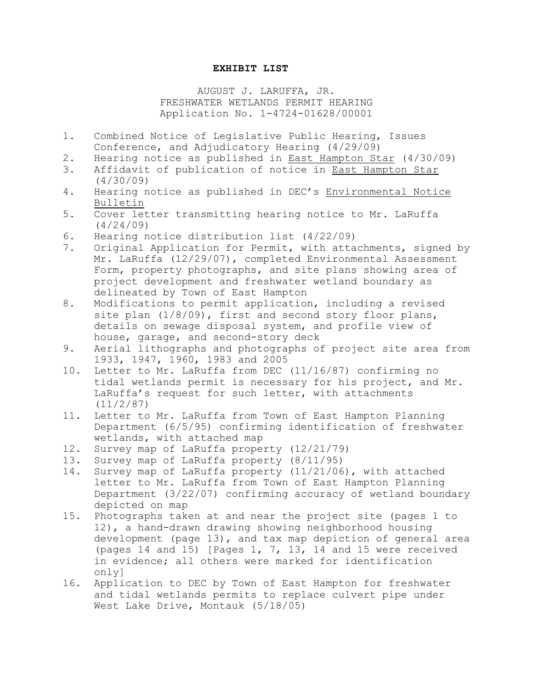## **EXHIBIT LIST**

# AUGUST J. LARUFFA, JR. FRESHWATER WETLANDS PERMIT HEARING Application No. 1-4724-01628/00001

- 1. Combined Notice of Legislative Public Hearing, Issues Conference, and Adjudicatory Hearing (4/29/09)
- 2. Hearing notice as published in East Hampton Star (4/30/09)
- 3. Affidavit of publication of notice in East Hampton Star (4/30/09)
- 4. Hearing notice as published in DEC's Environmental Notice Bulletin
- 5. Cover letter transmitting hearing notice to Mr. LaRuffa (4/24/09)
- 6. Hearing notice distribution list (4/22/09)
- 7. Original Application for Permit, with attachments, signed by Mr. LaRuffa (12/29/07), completed Environmental Assessment Form, property photographs, and site plans showing area of project development and freshwater wetland boundary as delineated by Town of East Hampton
- 8. Modifications to permit application, including a revised site plan  $(1/8/09)$ , first and second story floor plans, details on sewage disposal system, and profile view of house, garage, and second-story deck
- 9. Aerial lithographs and photographs of project site area from 1933, 1947, 1960, 1983 and 2005
- 10. Letter to Mr. LaRuffa from DEC (11/16/87) confirming no tidal wetlands permit is necessary for his project, and Mr. LaRuffa's request for such letter, with attachments (11/2/87)
- 11. Letter to Mr. LaRuffa from Town of East Hampton Planning Department (6/5/95) confirming identification of freshwater wetlands, with attached map
- 12. Survey map of LaRuffa property (12/21/79)
- 13. Survey map of LaRuffa property (8/11/95)
- 14. Survey map of LaRuffa property (11/21/06), with attached letter to Mr. LaRuffa from Town of East Hampton Planning Department (3/22/07) confirming accuracy of wetland boundary depicted on map
- 15. Photographs taken at and near the project site (pages 1 to 12), a hand-drawn drawing showing neighborhood housing development (page 13), and tax map depiction of general area (pages 14 and 15) [Pages 1, 7, 13, 14 and 15 were received in evidence; all others were marked for identification only]
- 16. Application to DEC by Town of East Hampton for freshwater and tidal wetlands permits to replace culvert pipe under West Lake Drive, Montauk (5/18/05)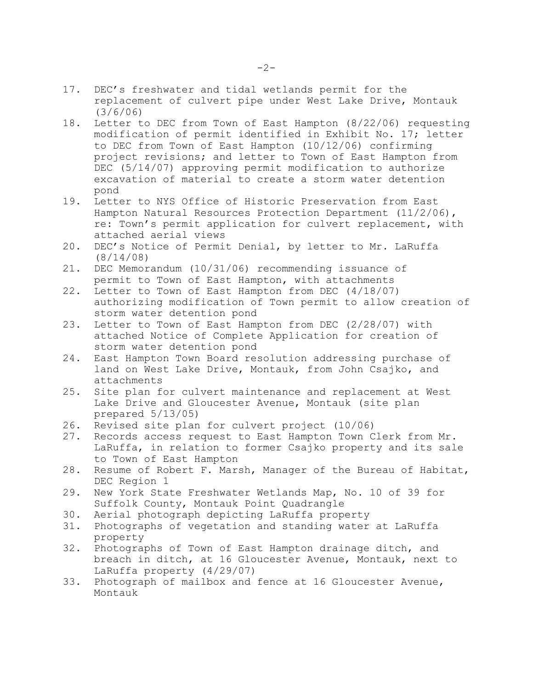- 17. DEC's freshwater and tidal wetlands permit for the replacement of culvert pipe under West Lake Drive, Montauk (3/6/06)
- 18. Letter to DEC from Town of East Hampton (8/22/06) requesting modification of permit identified in Exhibit No. 17; letter to DEC from Town of East Hampton (10/12/06) confirming project revisions; and letter to Town of East Hampton from DEC (5/14/07) approving permit modification to authorize excavation of material to create a storm water detention pond
- 19. Letter to NYS Office of Historic Preservation from East Hampton Natural Resources Protection Department (11/2/06), re: Town's permit application for culvert replacement, with attached aerial views
- 20. DEC's Notice of Permit Denial, by letter to Mr. LaRuffa (8/14/08)
- 21. DEC Memorandum (10/31/06) recommending issuance of permit to Town of East Hampton, with attachments
- 22. Letter to Town of East Hampton from DEC (4/18/07) authorizing modification of Town permit to allow creation of storm water detention pond
- 23. Letter to Town of East Hampton from DEC (2/28/07) with attached Notice of Complete Application for creation of storm water detention pond
- 24. East Hampton Town Board resolution addressing purchase of land on West Lake Drive, Montauk, from John Csajko, and attachments
- 25. Site plan for culvert maintenance and replacement at West Lake Drive and Gloucester Avenue, Montauk (site plan prepared 5/13/05)
- 26. Revised site plan for culvert project (10/06)
- 27. Records access request to East Hampton Town Clerk from Mr. LaRuffa, in relation to former Csajko property and its sale to Town of East Hampton
- 28. Resume of Robert F. Marsh, Manager of the Bureau of Habitat, DEC Region 1
- 29. New York State Freshwater Wetlands Map, No. 10 of 39 for Suffolk County, Montauk Point Quadrangle
- 30. Aerial photograph depicting LaRuffa property
- 31. Photographs of vegetation and standing water at LaRuffa property
- 32. Photographs of Town of East Hampton drainage ditch, and breach in ditch, at 16 Gloucester Avenue, Montauk, next to LaRuffa property (4/29/07)
- 33. Photograph of mailbox and fence at 16 Gloucester Avenue, Montauk